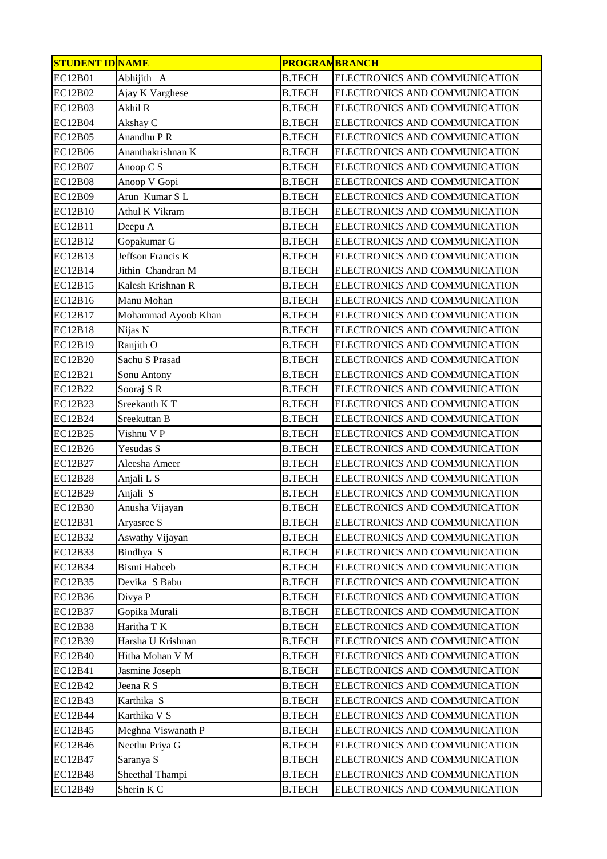| <b>STUDENT ID NAME</b> |                     | <b>PROGRAMBRANCH</b> |                               |
|------------------------|---------------------|----------------------|-------------------------------|
| <b>EC12B01</b>         | Abhijith A          | <b>B.TECH</b>        | ELECTRONICS AND COMMUNICATION |
| EC12B02                | Ajay K Varghese     | <b>B.TECH</b>        | ELECTRONICS AND COMMUNICATION |
| EC12B03                | Akhil R             | <b>B.TECH</b>        | ELECTRONICS AND COMMUNICATION |
| <b>EC12B04</b>         | Akshay C            | <b>B.TECH</b>        | ELECTRONICS AND COMMUNICATION |
| EC12B05                | Anandhu P R         | <b>B.TECH</b>        | ELECTRONICS AND COMMUNICATION |
| EC12B06                | Ananthakrishnan K   | <b>B.TECH</b>        | ELECTRONICS AND COMMUNICATION |
| EC12B07                | Anoop C S           | <b>B.TECH</b>        | ELECTRONICS AND COMMUNICATION |
| <b>EC12B08</b>         | Anoop V Gopi        | <b>B.TECH</b>        | ELECTRONICS AND COMMUNICATION |
| <b>EC12B09</b>         | Arun Kumar SL       | <b>B.TECH</b>        | ELECTRONICS AND COMMUNICATION |
| EC12B10                | Athul K Vikram      | <b>B.TECH</b>        | ELECTRONICS AND COMMUNICATION |
| EC12B11                | Deepu A             | <b>B.TECH</b>        | ELECTRONICS AND COMMUNICATION |
| EC12B12                | Gopakumar G         | <b>B.TECH</b>        | ELECTRONICS AND COMMUNICATION |
| EC12B13                | Jeffson Francis K   | <b>B.TECH</b>        | ELECTRONICS AND COMMUNICATION |
| EC12B14                | Jithin Chandran M   | <b>B.TECH</b>        | ELECTRONICS AND COMMUNICATION |
| EC12B15                | Kalesh Krishnan R   | <b>B.TECH</b>        | ELECTRONICS AND COMMUNICATION |
| EC12B16                | Manu Mohan          | <b>B.TECH</b>        | ELECTRONICS AND COMMUNICATION |
| EC12B17                | Mohammad Ayoob Khan | <b>B.TECH</b>        | ELECTRONICS AND COMMUNICATION |
| EC12B18                | Nijas N             | <b>B.TECH</b>        | ELECTRONICS AND COMMUNICATION |
| EC12B19                | Ranjith O           | <b>B.TECH</b>        | ELECTRONICS AND COMMUNICATION |
| EC12B20                | Sachu S Prasad      | <b>B.TECH</b>        | ELECTRONICS AND COMMUNICATION |
| EC12B21                | Sonu Antony         | <b>B.TECH</b>        | ELECTRONICS AND COMMUNICATION |
| EC12B22                | Sooraj SR           | <b>B.TECH</b>        | ELECTRONICS AND COMMUNICATION |
| EC12B23                | Sreekanth KT        | <b>B.TECH</b>        | ELECTRONICS AND COMMUNICATION |
| EC12B24                | Sreekuttan B        | <b>B.TECH</b>        | ELECTRONICS AND COMMUNICATION |
| EC12B25                | Vishnu V P          | <b>B.TECH</b>        | ELECTRONICS AND COMMUNICATION |
| EC12B26                | Yesudas S           | <b>B.TECH</b>        | ELECTRONICS AND COMMUNICATION |
| EC12B27                | Aleesha Ameer       | <b>B.TECH</b>        | ELECTRONICS AND COMMUNICATION |
| <b>EC12B28</b>         | Anjali L S          | <b>B.TECH</b>        | ELECTRONICS AND COMMUNICATION |
| EC12B29                | Anjali S            | <b>B.TECH</b>        | ELECTRONICS AND COMMUNICATION |
| EC12B30                | Anusha Vijayan      | <b>B.TECH</b>        | ELECTRONICS AND COMMUNICATION |
| EC12B31                | Aryasree S          | <b>B.TECH</b>        | ELECTRONICS AND COMMUNICATION |
| EC12B32                | Aswathy Vijayan     | <b>B.TECH</b>        | ELECTRONICS AND COMMUNICATION |
| EC12B33                | Bindhya S           | <b>B.TECH</b>        | ELECTRONICS AND COMMUNICATION |
| EC12B34                | Bismi Habeeb        | <b>B.TECH</b>        | ELECTRONICS AND COMMUNICATION |
| EC12B35                | Devika S Babu       | <b>B.TECH</b>        | ELECTRONICS AND COMMUNICATION |
| EC12B36                | Divya P             | <b>B.TECH</b>        | ELECTRONICS AND COMMUNICATION |
| EC12B37                | Gopika Murali       | <b>B.TECH</b>        | ELECTRONICS AND COMMUNICATION |
| <b>EC12B38</b>         | Haritha T K         | <b>B.TECH</b>        | ELECTRONICS AND COMMUNICATION |
| EC12B39                | Harsha U Krishnan   | <b>B.TECH</b>        | ELECTRONICS AND COMMUNICATION |
| EC12B40                | Hitha Mohan V M     | <b>B.TECH</b>        | ELECTRONICS AND COMMUNICATION |
| EC12B41                | Jasmine Joseph      | <b>B.TECH</b>        | ELECTRONICS AND COMMUNICATION |
| EC12B42                | Jeena R S           | <b>B.TECH</b>        | ELECTRONICS AND COMMUNICATION |
| EC12B43                | Karthika S          | <b>B.TECH</b>        | ELECTRONICS AND COMMUNICATION |
| EC12B44                | Karthika V S        | <b>B.TECH</b>        | ELECTRONICS AND COMMUNICATION |
| EC12B45                | Meghna Viswanath P  | <b>B.TECH</b>        | ELECTRONICS AND COMMUNICATION |
| EC12B46                | Neethu Priya G      | <b>B.TECH</b>        | ELECTRONICS AND COMMUNICATION |
| EC12B47                | Saranya S           | <b>B.TECH</b>        | ELECTRONICS AND COMMUNICATION |
| <b>EC12B48</b>         | Sheethal Thampi     | <b>B.TECH</b>        | ELECTRONICS AND COMMUNICATION |
| EC12B49                | Sherin K C          | <b>B.TECH</b>        | ELECTRONICS AND COMMUNICATION |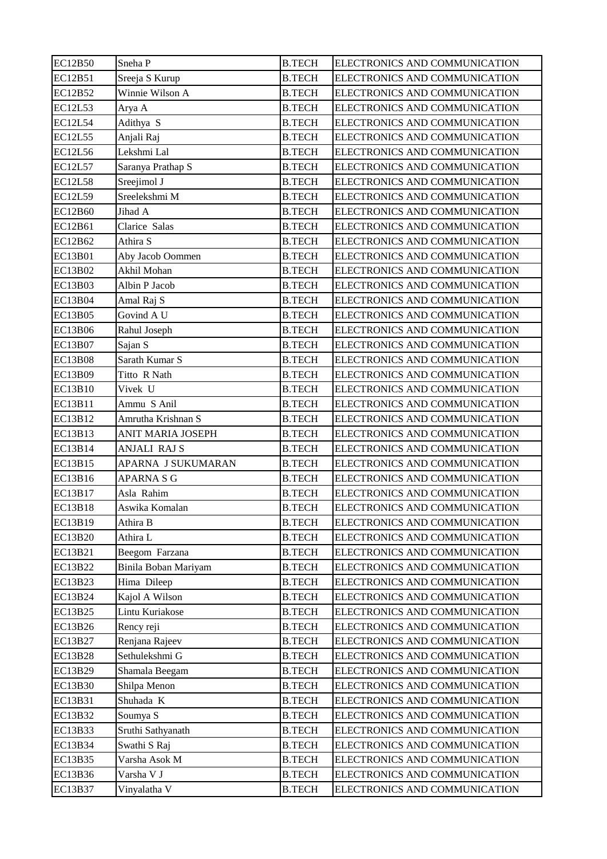| EC12B50        | Sneha P              | <b>B.TECH</b> | ELECTRONICS AND COMMUNICATION |
|----------------|----------------------|---------------|-------------------------------|
| EC12B51        | Sreeja S Kurup       | <b>B.TECH</b> | ELECTRONICS AND COMMUNICATION |
| EC12B52        | Winnie Wilson A      | <b>B.TECH</b> | ELECTRONICS AND COMMUNICATION |
| <b>EC12L53</b> | Arya A               | <b>B.TECH</b> | ELECTRONICS AND COMMUNICATION |
| EC12L54        | Adithya S            | <b>B.TECH</b> | ELECTRONICS AND COMMUNICATION |
| <b>EC12L55</b> | Anjali Raj           | <b>B.TECH</b> | ELECTRONICS AND COMMUNICATION |
| <b>EC12L56</b> | Lekshmi Lal          | <b>B.TECH</b> | ELECTRONICS AND COMMUNICATION |
| EC12L57        | Saranya Prathap S    | <b>B.TECH</b> | ELECTRONICS AND COMMUNICATION |
| <b>EC12L58</b> | Sreejimol J          | <b>B.TECH</b> | ELECTRONICS AND COMMUNICATION |
| <b>EC12L59</b> | Sreelekshmi M        | <b>B.TECH</b> | ELECTRONICS AND COMMUNICATION |
| EC12B60        | Jihad A              | <b>B.TECH</b> | ELECTRONICS AND COMMUNICATION |
| EC12B61        | Clarice Salas        | <b>B.TECH</b> | ELECTRONICS AND COMMUNICATION |
| EC12B62        | Athira S             | <b>B.TECH</b> | ELECTRONICS AND COMMUNICATION |
| EC13B01        | Aby Jacob Oommen     | <b>B.TECH</b> | ELECTRONICS AND COMMUNICATION |
| EC13B02        | Akhil Mohan          | <b>B.TECH</b> | ELECTRONICS AND COMMUNICATION |
| <b>EC13B03</b> | Albin P Jacob        | <b>B.TECH</b> | ELECTRONICS AND COMMUNICATION |
| EC13B04        | Amal Raj S           | <b>B.TECH</b> | ELECTRONICS AND COMMUNICATION |
| <b>EC13B05</b> | Govind A U           | <b>B.TECH</b> | ELECTRONICS AND COMMUNICATION |
| EC13B06        | Rahul Joseph         | <b>B.TECH</b> | ELECTRONICS AND COMMUNICATION |
| EC13B07        | Sajan S              | <b>B.TECH</b> | ELECTRONICS AND COMMUNICATION |
| <b>EC13B08</b> | Sarath Kumar S       | <b>B.TECH</b> | ELECTRONICS AND COMMUNICATION |
| EC13B09        | Titto R Nath         | <b>B.TECH</b> | ELECTRONICS AND COMMUNICATION |
| EC13B10        | Vivek U              | <b>B.TECH</b> | ELECTRONICS AND COMMUNICATION |
| EC13B11        | Ammu S Anil          | <b>B.TECH</b> | ELECTRONICS AND COMMUNICATION |
| EC13B12        | Amrutha Krishnan S   | <b>B.TECH</b> | ELECTRONICS AND COMMUNICATION |
| EC13B13        | ANIT MARIA JOSEPH    | <b>B.TECH</b> | ELECTRONICS AND COMMUNICATION |
| EC13B14        | ANJALI RAJ S         | <b>B.TECH</b> | ELECTRONICS AND COMMUNICATION |
| EC13B15        | APARNA J SUKUMARAN   | <b>B.TECH</b> | ELECTRONICS AND COMMUNICATION |
| EC13B16        | APARNA S G           | <b>B.TECH</b> | ELECTRONICS AND COMMUNICATION |
| EC13B17        | Asla Rahim           | <b>B.TECH</b> | ELECTRONICS AND COMMUNICATION |
| <b>EC13B18</b> | Aswika Komalan       |               |                               |
|                |                      | <b>B.TECH</b> | ELECTRONICS AND COMMUNICATION |
| EC13B19        | Athira B             | <b>B.TECH</b> | ELECTRONICS AND COMMUNICATION |
| EC13B20        | Athira L             | <b>B.TECH</b> | ELECTRONICS AND COMMUNICATION |
| EC13B21        | Beegom Farzana       | <b>B.TECH</b> | ELECTRONICS AND COMMUNICATION |
| EC13B22        | Binila Boban Mariyam | <b>B.TECH</b> | ELECTRONICS AND COMMUNICATION |
| EC13B23        | Hima Dileep          | <b>B.TECH</b> | ELECTRONICS AND COMMUNICATION |
| EC13B24        | Kajol A Wilson       | <b>B.TECH</b> | ELECTRONICS AND COMMUNICATION |
| EC13B25        | Lintu Kuriakose      | <b>B.TECH</b> | ELECTRONICS AND COMMUNICATION |
| EC13B26        | Rency reji           | <b>B.TECH</b> | ELECTRONICS AND COMMUNICATION |
| EC13B27        | Renjana Rajeev       | <b>B.TECH</b> | ELECTRONICS AND COMMUNICATION |
| EC13B28        | Sethulekshmi G       | <b>B.TECH</b> | ELECTRONICS AND COMMUNICATION |
| EC13B29        | Shamala Beegam       | <b>B.TECH</b> | ELECTRONICS AND COMMUNICATION |
| EC13B30        | Shilpa Menon         | <b>B.TECH</b> | ELECTRONICS AND COMMUNICATION |
| EC13B31        | Shuhada K            | <b>B.TECH</b> | ELECTRONICS AND COMMUNICATION |
| EC13B32        | Soumya <sub>S</sub>  | <b>B.TECH</b> | ELECTRONICS AND COMMUNICATION |
| EC13B33        | Sruthi Sathyanath    | <b>B.TECH</b> | ELECTRONICS AND COMMUNICATION |
| EC13B34        | Swathi S Raj         | <b>B.TECH</b> | ELECTRONICS AND COMMUNICATION |
| EC13B35        | Varsha Asok M        | <b>B.TECH</b> | ELECTRONICS AND COMMUNICATION |
| EC13B36        | Varsha V J           | <b>B.TECH</b> | ELECTRONICS AND COMMUNICATION |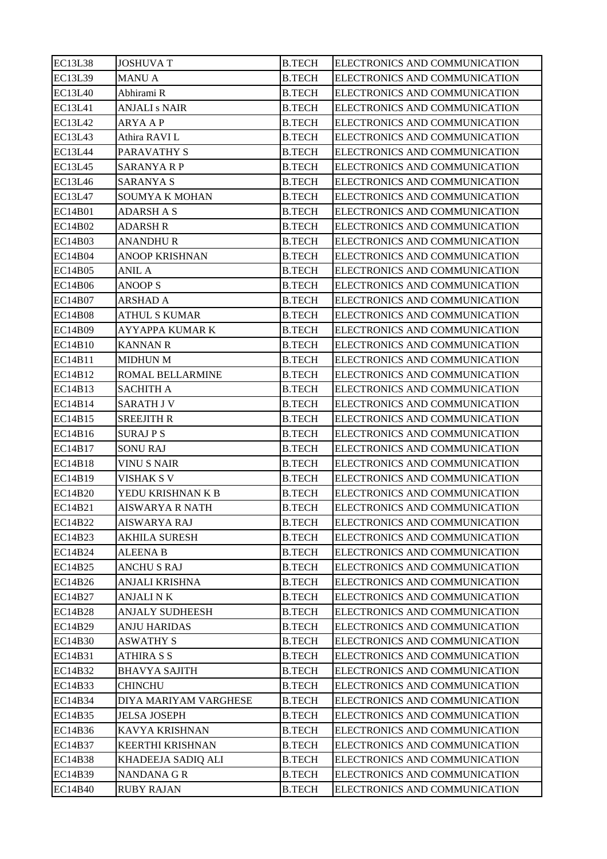| <b>EC13L38</b> | <b>JOSHUVA T</b>       | <b>B.TECH</b> | ELECTRONICS AND COMMUNICATION |
|----------------|------------------------|---------------|-------------------------------|
| EC13L39        | <b>MANU A</b>          | <b>B.TECH</b> | ELECTRONICS AND COMMUNICATION |
| <b>EC13L40</b> | Abhirami R             | <b>B.TECH</b> | ELECTRONICS AND COMMUNICATION |
| EC13L41        | <b>ANJALI s NAIR</b>   | <b>B.TECH</b> | ELECTRONICS AND COMMUNICATION |
| EC13L42        | <b>ARYA AP</b>         | <b>B.TECH</b> | ELECTRONICS AND COMMUNICATION |
| <b>EC13L43</b> | Athira RAVI L          | <b>B.TECH</b> | ELECTRONICS AND COMMUNICATION |
| <b>EC13L44</b> | PARAVATHY S            | <b>B.TECH</b> | ELECTRONICS AND COMMUNICATION |
| <b>EC13L45</b> | <b>SARANYA R P</b>     | <b>B.TECH</b> | ELECTRONICS AND COMMUNICATION |
| <b>EC13L46</b> | SARANYA S              | <b>B.TECH</b> | ELECTRONICS AND COMMUNICATION |
| EC13L47        | SOUMYA K MOHAN         | <b>B.TECH</b> | ELECTRONICS AND COMMUNICATION |
| <b>EC14B01</b> | <b>ADARSH A S</b>      | <b>B.TECH</b> | ELECTRONICS AND COMMUNICATION |
| <b>EC14B02</b> | <b>ADARSH R</b>        | <b>B.TECH</b> | ELECTRONICS AND COMMUNICATION |
| EC14B03        | <b>ANANDHUR</b>        | <b>B.TECH</b> | ELECTRONICS AND COMMUNICATION |
| <b>EC14B04</b> | <b>ANOOP KRISHNAN</b>  | <b>B.TECH</b> | ELECTRONICS AND COMMUNICATION |
| EC14B05        | <b>ANIL A</b>          | <b>B.TECH</b> | ELECTRONICS AND COMMUNICATION |
| <b>EC14B06</b> | <b>ANOOP S</b>         | <b>B.TECH</b> | ELECTRONICS AND COMMUNICATION |
| <b>EC14B07</b> | <b>ARSHAD A</b>        | <b>B.TECH</b> | ELECTRONICS AND COMMUNICATION |
| <b>EC14B08</b> | <b>ATHUL S KUMAR</b>   | <b>B.TECH</b> | ELECTRONICS AND COMMUNICATION |
| <b>EC14B09</b> | AYYAPPA KUMAR K        | <b>B.TECH</b> | ELECTRONICS AND COMMUNICATION |
| EC14B10        | KANNAN R               | <b>B.TECH</b> | ELECTRONICS AND COMMUNICATION |
| EC14B11        | <b>MIDHUN M</b>        | <b>B.TECH</b> | ELECTRONICS AND COMMUNICATION |
| EC14B12        | ROMAL BELLARMINE       | <b>B.TECH</b> | ELECTRONICS AND COMMUNICATION |
| EC14B13        | <b>SACHITH A</b>       | <b>B.TECH</b> | ELECTRONICS AND COMMUNICATION |
| EC14B14        | <b>SARATH J V</b>      | <b>B.TECH</b> | ELECTRONICS AND COMMUNICATION |
| EC14B15        | SREEJITH R             | <b>B.TECH</b> | ELECTRONICS AND COMMUNICATION |
| EC14B16        | <b>SURAJ P S</b>       | <b>B.TECH</b> | ELECTRONICS AND COMMUNICATION |
| EC14B17        | <b>SONU RAJ</b>        | <b>B.TECH</b> | ELECTRONICS AND COMMUNICATION |
| <b>EC14B18</b> | <b>VINUS NAIR</b>      | <b>B.TECH</b> | ELECTRONICS AND COMMUNICATION |
| EC14B19        | <b>VISHAK S V</b>      | <b>B.TECH</b> | ELECTRONICS AND COMMUNICATION |
| <b>EC14B20</b> | YEDU KRISHNAN K B      | <b>B.TECH</b> | ELECTRONICS AND COMMUNICATION |
| EC14B21        | AISWARYA R NATH        | <b>B.TECH</b> | ELECTRONICS AND COMMUNICATION |
| EC14B22        | <b>AISWARYA RAJ</b>    | <b>B.TECH</b> | ELECTRONICS AND COMMUNICATION |
| EC14B23        | <b>AKHILA SURESH</b>   | <b>B.TECH</b> | ELECTRONICS AND COMMUNICATION |
| EC14B24        | ALEENA B               | <b>B.TECH</b> | ELECTRONICS AND COMMUNICATION |
| EC14B25        | <b>ANCHU S RAJ</b>     | <b>B.TECH</b> | ELECTRONICS AND COMMUNICATION |
| EC14B26        | ANJALI KRISHNA         | <b>B.TECH</b> | ELECTRONICS AND COMMUNICATION |
| EC14B27        | <b>ANJALI NK</b>       | <b>B.TECH</b> | ELECTRONICS AND COMMUNICATION |
| <b>EC14B28</b> | <b>ANJALY SUDHEESH</b> | <b>B.TECH</b> | ELECTRONICS AND COMMUNICATION |
| EC14B29        | <b>ANJU HARIDAS</b>    | <b>B.TECH</b> | ELECTRONICS AND COMMUNICATION |
| EC14B30        | <b>ASWATHY S</b>       | <b>B.TECH</b> | ELECTRONICS AND COMMUNICATION |
| EC14B31        | ATHIRA S S             | <b>B.TECH</b> | ELECTRONICS AND COMMUNICATION |
| EC14B32        | <b>BHAVYA SAJITH</b>   | <b>B.TECH</b> | ELECTRONICS AND COMMUNICATION |
| EC14B33        | <b>CHINCHU</b>         | <b>B.TECH</b> | ELECTRONICS AND COMMUNICATION |
| EC14B34        | DIYA MARIYAM VARGHESE  | <b>B.TECH</b> | ELECTRONICS AND COMMUNICATION |
| EC14B35        | <b>JELSA JOSEPH</b>    | <b>B.TECH</b> | ELECTRONICS AND COMMUNICATION |
| EC14B36        | KAVYA KRISHNAN         | <b>B.TECH</b> | ELECTRONICS AND COMMUNICATION |
| EC14B37        | KEERTHI KRISHNAN       | <b>B.TECH</b> | ELECTRONICS AND COMMUNICATION |
| EC14B38        | KHADEEJA SADIQ ALI     | <b>B.TECH</b> | ELECTRONICS AND COMMUNICATION |
| EC14B39        | NANDANA G R            | <b>B.TECH</b> | ELECTRONICS AND COMMUNICATION |
| <b>EC14B40</b> | RUBY RAJAN             | <b>B.TECH</b> | ELECTRONICS AND COMMUNICATION |